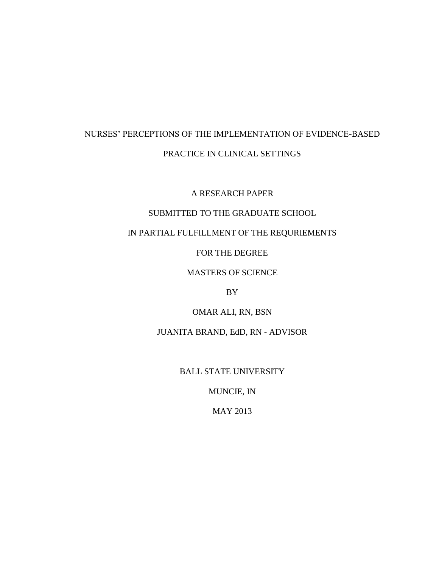# NURSES' PERCEPTIONS OF THE IMPLEMENTATION OF EVIDENCE-BASED PRACTICE IN CLINICAL SETTINGS

A RESEARCH PAPER

## SUBMITTED TO THE GRADUATE SCHOOL

## IN PARTIAL FULFILLMENT OF THE REQURIEMENTS

FOR THE DEGREE

MASTERS OF SCIENCE

BY

OMAR ALI, RN, BSN

JUANITA BRAND, EdD, RN - ADVISOR

BALL STATE UNIVERSITY

MUNCIE, IN

MAY 2013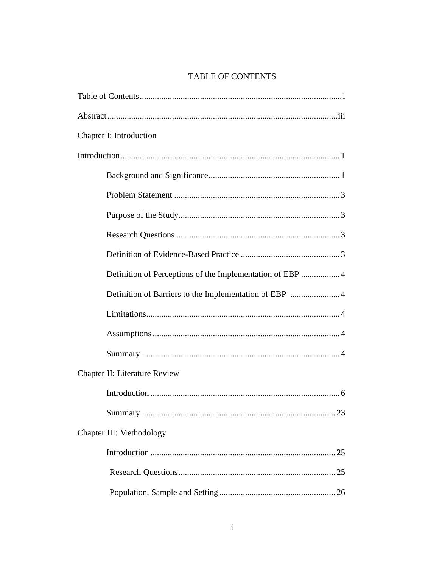# TABLE OF CONTENTS

| Chapter I: Introduction                                  |
|----------------------------------------------------------|
|                                                          |
|                                                          |
|                                                          |
|                                                          |
|                                                          |
|                                                          |
| Definition of Perceptions of the Implementation of EBP 4 |
|                                                          |
|                                                          |
|                                                          |
|                                                          |
| <b>Chapter II: Literature Review</b>                     |
|                                                          |
|                                                          |
| Chapter III: Methodology                                 |
|                                                          |
|                                                          |
|                                                          |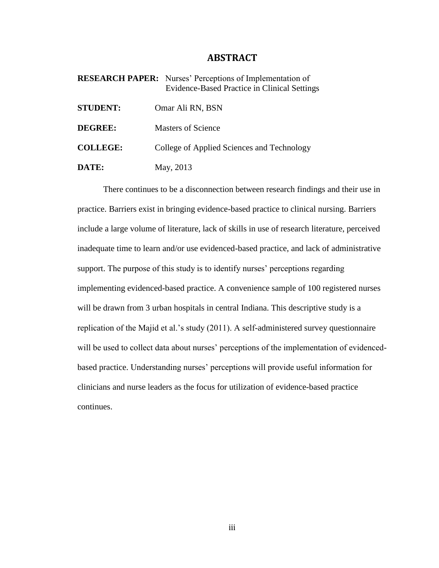## **ABSTRACT**

**RESEARCH PAPER:** Nurses' Perceptions of Implementation of Evidence-Based Practice in Clinical Settings

| <b>STUDENT:</b> | Omar Ali RN, BSN                           |
|-----------------|--------------------------------------------|
| <b>DEGREE:</b>  | <b>Masters of Science</b>                  |
| <b>COLLEGE:</b> | College of Applied Sciences and Technology |
| DATE:           | May, 2013                                  |

There continues to be a disconnection between research findings and their use in practice. Barriers exist in bringing evidence-based practice to clinical nursing. Barriers include a large volume of literature, lack of skills in use of research literature, perceived inadequate time to learn and/or use evidenced-based practice, and lack of administrative support. The purpose of this study is to identify nurses' perceptions regarding implementing evidenced-based practice. A convenience sample of 100 registered nurses will be drawn from 3 urban hospitals in central Indiana. This descriptive study is a replication of the Majid et al.'s study (2011). A self-administered survey questionnaire will be used to collect data about nurses' perceptions of the implementation of evidencedbased practice. Understanding nurses' perceptions will provide useful information for clinicians and nurse leaders as the focus for utilization of evidence-based practice continues.

iii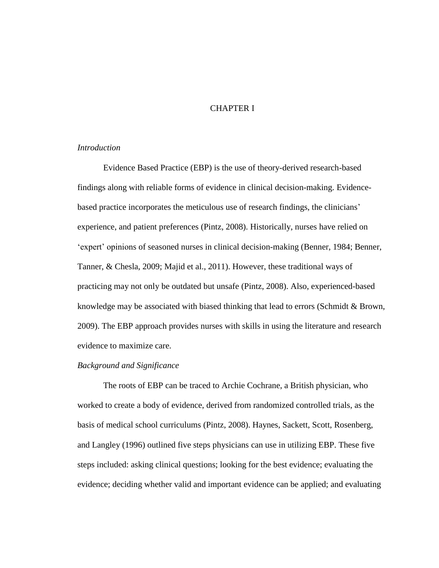## CHAPTER I

## *Introduction*

Evidence Based Practice (EBP) is the use of theory-derived research-based findings along with reliable forms of evidence in clinical decision-making. Evidencebased practice incorporates the meticulous use of research findings, the clinicians' experience, and patient preferences (Pintz, 2008). Historically, nurses have relied on 'expert' opinions of seasoned nurses in clinical decision-making (Benner, 1984; Benner, Tanner, & Chesla, 2009; Majid et al., 2011). However, these traditional ways of practicing may not only be outdated but unsafe (Pintz, 2008). Also, experienced-based knowledge may be associated with biased thinking that lead to errors (Schmidt & Brown, 2009). The EBP approach provides nurses with skills in using the literature and research evidence to maximize care.

### *Background and Significance*

The roots of EBP can be traced to Archie Cochrane, a British physician, who worked to create a body of evidence, derived from randomized controlled trials, as the basis of medical school curriculums (Pintz, 2008). Haynes, Sackett, Scott, Rosenberg, and Langley (1996) outlined five steps physicians can use in utilizing EBP. These five steps included: asking clinical questions; looking for the best evidence; evaluating the evidence; deciding whether valid and important evidence can be applied; and evaluating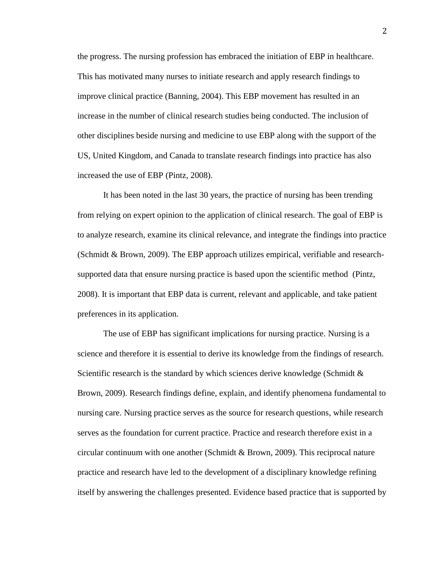the progress. The nursing profession has embraced the initiation of EBP in healthcare. This has motivated many nurses to initiate research and apply research findings to improve clinical practice (Banning, 2004). This EBP movement has resulted in an increase in the number of clinical research studies being conducted. The inclusion of other disciplines beside nursing and medicine to use EBP along with the support of the US, United Kingdom, and Canada to translate research findings into practice has also increased the use of EBP (Pintz, 2008).

It has been noted in the last 30 years, the practice of nursing has been trending from relying on expert opinion to the application of clinical research. The goal of EBP is to analyze research, examine its clinical relevance, and integrate the findings into practice (Schmidt & Brown, 2009). The EBP approach utilizes empirical, verifiable and researchsupported data that ensure nursing practice is based upon the scientific method (Pintz, 2008). It is important that EBP data is current, relevant and applicable, and take patient preferences in its application.

The use of EBP has significant implications for nursing practice. Nursing is a science and therefore it is essential to derive its knowledge from the findings of research. Scientific research is the standard by which sciences derive knowledge (Schmidt  $\&$ Brown, 2009). Research findings define, explain, and identify phenomena fundamental to nursing care. Nursing practice serves as the source for research questions, while research serves as the foundation for current practice. Practice and research therefore exist in a circular continuum with one another (Schmidt & Brown, 2009). This reciprocal nature practice and research have led to the development of a disciplinary knowledge refining itself by answering the challenges presented. Evidence based practice that is supported by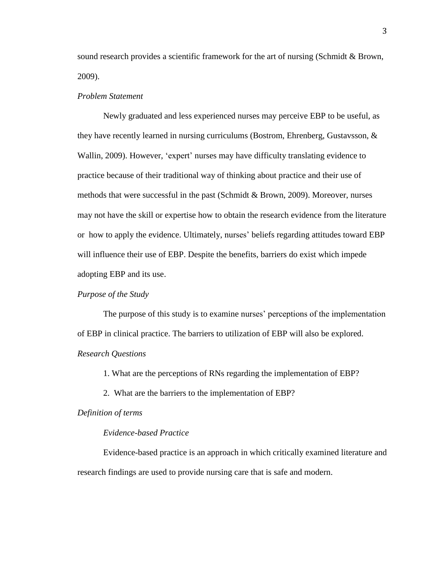sound research provides a scientific framework for the art of nursing (Schmidt & Brown, 2009).

## *Problem Statement*

Newly graduated and less experienced nurses may perceive EBP to be useful, as they have recently learned in nursing curriculums (Bostrom, Ehrenberg, Gustavsson, & Wallin, 2009). However, 'expert' nurses may have difficulty translating evidence to practice because of their traditional way of thinking about practice and their use of methods that were successful in the past (Schmidt & Brown, 2009). Moreover, nurses may not have the skill or expertise how to obtain the research evidence from the literature or how to apply the evidence. Ultimately, nurses' beliefs regarding attitudes toward EBP will influence their use of EBP. Despite the benefits, barriers do exist which impede adopting EBP and its use.

## *Purpose of the Study*

The purpose of this study is to examine nurses' perceptions of the implementation of EBP in clinical practice. The barriers to utilization of EBP will also be explored. *Research Questions*

1. What are the perceptions of RNs regarding the implementation of EBP?

2. What are the barriers to the implementation of EBP?

## *Definition of terms*

## *Evidence-based Practice*

Evidence-based practice is an approach in which critically examined literature and research findings are used to provide nursing care that is safe and modern.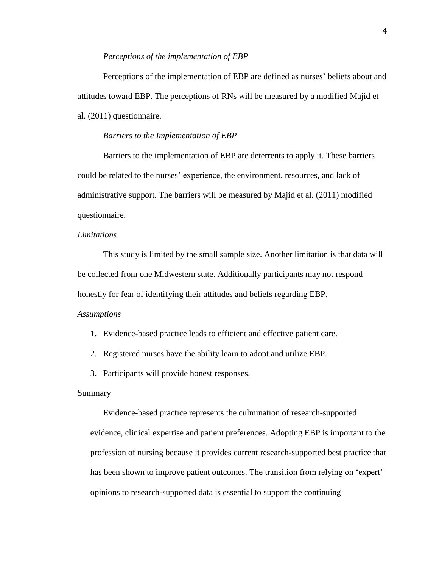#### *Perceptions of the implementation of EBP*

Perceptions of the implementation of EBP are defined as nurses' beliefs about and attitudes toward EBP. The perceptions of RNs will be measured by a modified Majid et al. (2011) questionnaire.

### *Barriers to the Implementation of EBP*

Barriers to the implementation of EBP are deterrents to apply it. These barriers could be related to the nurses' experience, the environment, resources, and lack of administrative support. The barriers will be measured by Majid et al. (2011) modified questionnaire.

## *Limitations*

This study is limited by the small sample size. Another limitation is that data will be collected from one Midwestern state. Additionally participants may not respond honestly for fear of identifying their attitudes and beliefs regarding EBP.

### *Assumptions*

- 1. Evidence-based practice leads to efficient and effective patient care.
- 2. Registered nurses have the ability learn to adopt and utilize EBP.
- 3. Participants will provide honest responses.

## Summary

Evidence-based practice represents the culmination of research-supported evidence, clinical expertise and patient preferences. Adopting EBP is important to the profession of nursing because it provides current research-supported best practice that has been shown to improve patient outcomes. The transition from relying on 'expert' opinions to research-supported data is essential to support the continuing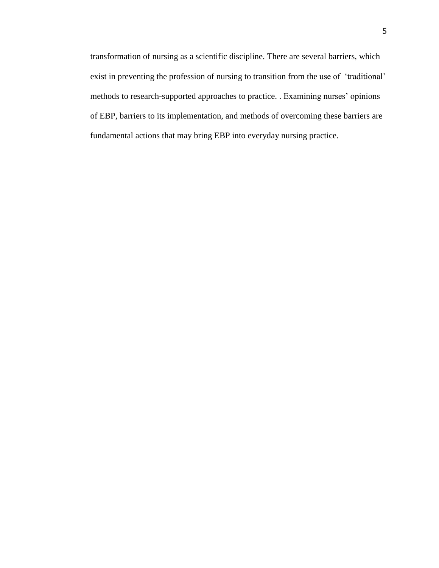transformation of nursing as a scientific discipline. There are several barriers, which exist in preventing the profession of nursing to transition from the use of 'traditional' methods to research-supported approaches to practice. . Examining nurses' opinions of EBP, barriers to its implementation, and methods of overcoming these barriers are fundamental actions that may bring EBP into everyday nursing practice.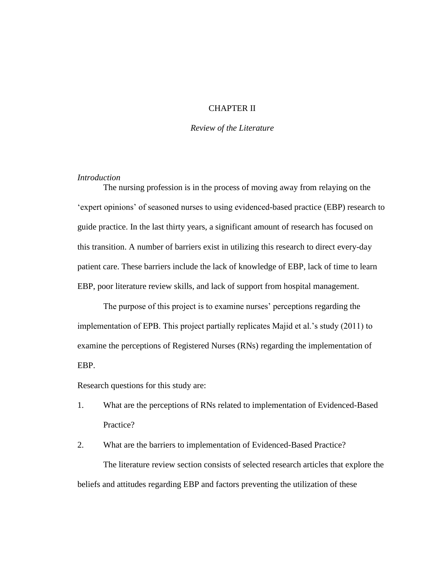## CHAPTER II

## *Review of the Literature*

## *Introduction*

The nursing profession is in the process of moving away from relaying on the 'expert opinions' of seasoned nurses to using evidenced-based practice (EBP) research to guide practice. In the last thirty years, a significant amount of research has focused on this transition. A number of barriers exist in utilizing this research to direct every-day patient care. These barriers include the lack of knowledge of EBP, lack of time to learn EBP, poor literature review skills, and lack of support from hospital management.

The purpose of this project is to examine nurses' perceptions regarding the implementation of EPB. This project partially replicates Majid et al.'s study (2011) to examine the perceptions of Registered Nurses (RNs) regarding the implementation of EBP.

Research questions for this study are:

1. What are the perceptions of RNs related to implementation of Evidenced-Based Practice?

2. What are the barriers to implementation of Evidenced-Based Practice? The literature review section consists of selected research articles that explore the beliefs and attitudes regarding EBP and factors preventing the utilization of these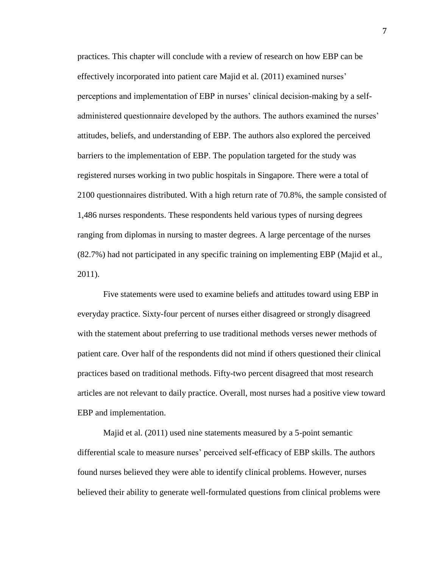practices. This chapter will conclude with a review of research on how EBP can be effectively incorporated into patient care Majid et al. (2011) examined nurses' perceptions and implementation of EBP in nurses' clinical decision-making by a selfadministered questionnaire developed by the authors. The authors examined the nurses' attitudes, beliefs, and understanding of EBP. The authors also explored the perceived barriers to the implementation of EBP. The population targeted for the study was registered nurses working in two public hospitals in Singapore. There were a total of 2100 questionnaires distributed. With a high return rate of 70.8%, the sample consisted of 1,486 nurses respondents. These respondents held various types of nursing degrees ranging from diplomas in nursing to master degrees. A large percentage of the nurses (82.7%) had not participated in any specific training on implementing EBP (Majid et al., 2011).

Five statements were used to examine beliefs and attitudes toward using EBP in everyday practice. Sixty-four percent of nurses either disagreed or strongly disagreed with the statement about preferring to use traditional methods verses newer methods of patient care. Over half of the respondents did not mind if others questioned their clinical practices based on traditional methods. Fifty-two percent disagreed that most research articles are not relevant to daily practice. Overall, most nurses had a positive view toward EBP and implementation.

Majid et al. (2011) used nine statements measured by a 5-point semantic differential scale to measure nurses' perceived self-efficacy of EBP skills. The authors found nurses believed they were able to identify clinical problems. However, nurses believed their ability to generate well-formulated questions from clinical problems were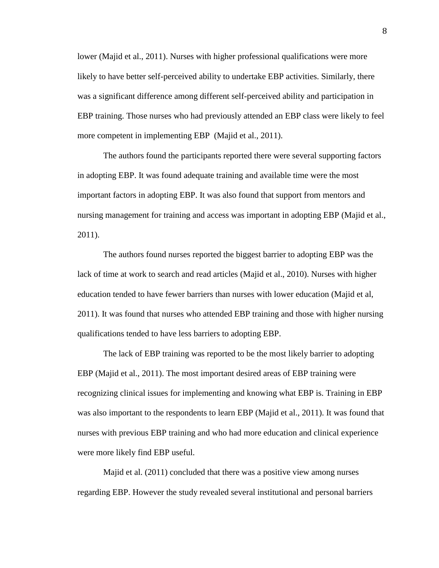lower (Majid et al., 2011). Nurses with higher professional qualifications were more likely to have better self-perceived ability to undertake EBP activities. Similarly, there was a significant difference among different self-perceived ability and participation in EBP training. Those nurses who had previously attended an EBP class were likely to feel more competent in implementing EBP (Majid et al., 2011).

The authors found the participants reported there were several supporting factors in adopting EBP. It was found adequate training and available time were the most important factors in adopting EBP. It was also found that support from mentors and nursing management for training and access was important in adopting EBP (Majid et al., 2011).

The authors found nurses reported the biggest barrier to adopting EBP was the lack of time at work to search and read articles (Majid et al., 2010). Nurses with higher education tended to have fewer barriers than nurses with lower education (Majid et al, 2011). It was found that nurses who attended EBP training and those with higher nursing qualifications tended to have less barriers to adopting EBP.

The lack of EBP training was reported to be the most likely barrier to adopting EBP (Majid et al., 2011). The most important desired areas of EBP training were recognizing clinical issues for implementing and knowing what EBP is. Training in EBP was also important to the respondents to learn EBP (Majid et al., 2011). It was found that nurses with previous EBP training and who had more education and clinical experience were more likely find EBP useful.

Majid et al. (2011) concluded that there was a positive view among nurses regarding EBP. However the study revealed several institutional and personal barriers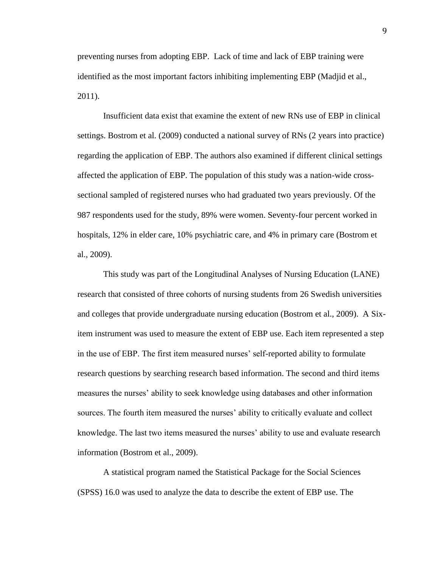preventing nurses from adopting EBP. Lack of time and lack of EBP training were identified as the most important factors inhibiting implementing EBP (Madjid et al., 2011).

Insufficient data exist that examine the extent of new RNs use of EBP in clinical settings. Bostrom et al. (2009) conducted a national survey of RNs (2 years into practice) regarding the application of EBP. The authors also examined if different clinical settings affected the application of EBP. The population of this study was a nation-wide crosssectional sampled of registered nurses who had graduated two years previously. Of the 987 respondents used for the study, 89% were women. Seventy-four percent worked in hospitals, 12% in elder care, 10% psychiatric care, and 4% in primary care (Bostrom et al., 2009).

This study was part of the Longitudinal Analyses of Nursing Education (LANE) research that consisted of three cohorts of nursing students from 26 Swedish universities and colleges that provide undergraduate nursing education (Bostrom et al., 2009). A Sixitem instrument was used to measure the extent of EBP use. Each item represented a step in the use of EBP. The first item measured nurses' self-reported ability to formulate research questions by searching research based information. The second and third items measures the nurses' ability to seek knowledge using databases and other information sources. The fourth item measured the nurses' ability to critically evaluate and collect knowledge. The last two items measured the nurses' ability to use and evaluate research information (Bostrom et al., 2009).

A statistical program named the Statistical Package for the Social Sciences (SPSS) 16.0 was used to analyze the data to describe the extent of EBP use. The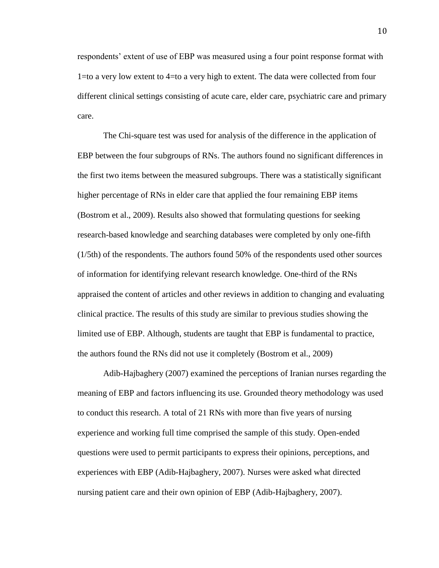respondents' extent of use of EBP was measured using a four point response format with 1=to a very low extent to 4=to a very high to extent. The data were collected from four different clinical settings consisting of acute care, elder care, psychiatric care and primary care.

The Chi-square test was used for analysis of the difference in the application of EBP between the four subgroups of RNs. The authors found no significant differences in the first two items between the measured subgroups. There was a statistically significant higher percentage of RNs in elder care that applied the four remaining EBP items (Bostrom et al., 2009). Results also showed that formulating questions for seeking research-based knowledge and searching databases were completed by only one-fifth (1/5th) of the respondents. The authors found 50% of the respondents used other sources of information for identifying relevant research knowledge. One-third of the RNs appraised the content of articles and other reviews in addition to changing and evaluating clinical practice. The results of this study are similar to previous studies showing the limited use of EBP. Although, students are taught that EBP is fundamental to practice, the authors found the RNs did not use it completely (Bostrom et al., 2009)

Adib-Hajbaghery (2007) examined the perceptions of Iranian nurses regarding the meaning of EBP and factors influencing its use. Grounded theory methodology was used to conduct this research. A total of 21 RNs with more than five years of nursing experience and working full time comprised the sample of this study. Open-ended questions were used to permit participants to express their opinions, perceptions, and experiences with EBP (Adib-Hajbaghery, 2007). Nurses were asked what directed nursing patient care and their own opinion of EBP (Adib-Hajbaghery, 2007).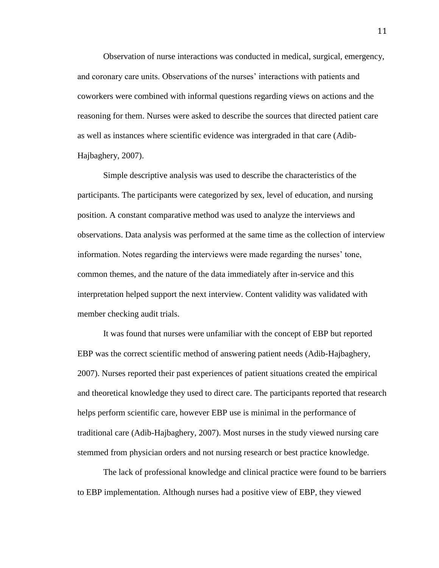Observation of nurse interactions was conducted in medical, surgical, emergency, and coronary care units. Observations of the nurses' interactions with patients and coworkers were combined with informal questions regarding views on actions and the reasoning for them. Nurses were asked to describe the sources that directed patient care as well as instances where scientific evidence was intergraded in that care (Adib-Hajbaghery, 2007).

Simple descriptive analysis was used to describe the characteristics of the participants. The participants were categorized by sex, level of education, and nursing position. A constant comparative method was used to analyze the interviews and observations. Data analysis was performed at the same time as the collection of interview information. Notes regarding the interviews were made regarding the nurses' tone, common themes, and the nature of the data immediately after in-service and this interpretation helped support the next interview. Content validity was validated with member checking audit trials.

It was found that nurses were unfamiliar with the concept of EBP but reported EBP was the correct scientific method of answering patient needs (Adib-Hajbaghery, 2007). Nurses reported their past experiences of patient situations created the empirical and theoretical knowledge they used to direct care. The participants reported that research helps perform scientific care, however EBP use is minimal in the performance of traditional care (Adib-Hajbaghery, 2007). Most nurses in the study viewed nursing care stemmed from physician orders and not nursing research or best practice knowledge.

The lack of professional knowledge and clinical practice were found to be barriers to EBP implementation. Although nurses had a positive view of EBP, they viewed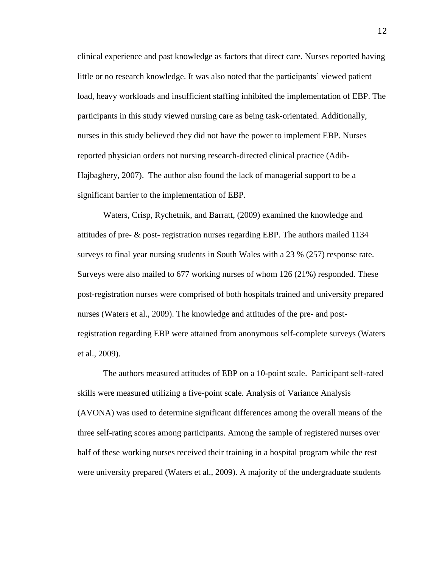clinical experience and past knowledge as factors that direct care. Nurses reported having little or no research knowledge. It was also noted that the participants' viewed patient load, heavy workloads and insufficient staffing inhibited the implementation of EBP. The participants in this study viewed nursing care as being task-orientated. Additionally, nurses in this study believed they did not have the power to implement EBP. Nurses reported physician orders not nursing research-directed clinical practice (Adib-Hajbaghery, 2007). The author also found the lack of managerial support to be a significant barrier to the implementation of EBP.

Waters, Crisp, Rychetnik, and Barratt, (2009) examined the knowledge and attitudes of pre- & post- registration nurses regarding EBP. The authors mailed 1134 surveys to final year nursing students in South Wales with a 23 % (257) response rate. Surveys were also mailed to 677 working nurses of whom 126 (21%) responded. These post-registration nurses were comprised of both hospitals trained and university prepared nurses (Waters et al., 2009). The knowledge and attitudes of the pre- and postregistration regarding EBP were attained from anonymous self-complete surveys (Waters et al., 2009).

The authors measured attitudes of EBP on a 10-point scale. Participant self-rated skills were measured utilizing a five-point scale. Analysis of Variance Analysis (AVONA) was used to determine significant differences among the overall means of the three self-rating scores among participants. Among the sample of registered nurses over half of these working nurses received their training in a hospital program while the rest were university prepared (Waters et al., 2009). A majority of the undergraduate students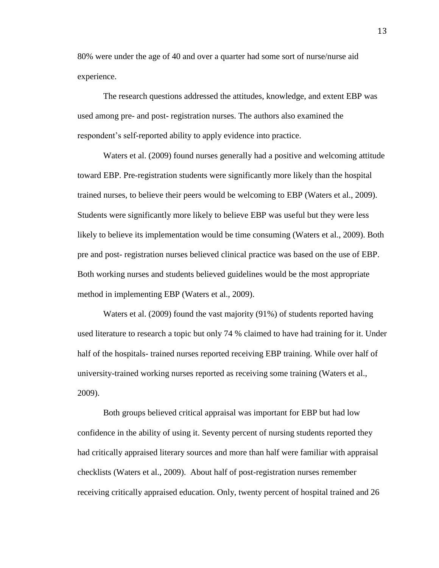80% were under the age of 40 and over a quarter had some sort of nurse/nurse aid experience.

The research questions addressed the attitudes, knowledge, and extent EBP was used among pre- and post- registration nurses. The authors also examined the respondent's self-reported ability to apply evidence into practice.

Waters et al. (2009) found nurses generally had a positive and welcoming attitude toward EBP. Pre-registration students were significantly more likely than the hospital trained nurses, to believe their peers would be welcoming to EBP (Waters et al., 2009). Students were significantly more likely to believe EBP was useful but they were less likely to believe its implementation would be time consuming (Waters et al., 2009). Both pre and post- registration nurses believed clinical practice was based on the use of EBP. Both working nurses and students believed guidelines would be the most appropriate method in implementing EBP (Waters et al., 2009).

Waters et al. (2009) found the vast majority (91%) of students reported having used literature to research a topic but only 74 % claimed to have had training for it. Under half of the hospitals- trained nurses reported receiving EBP training. While over half of university-trained working nurses reported as receiving some training (Waters et al., 2009).

Both groups believed critical appraisal was important for EBP but had low confidence in the ability of using it. Seventy percent of nursing students reported they had critically appraised literary sources and more than half were familiar with appraisal checklists (Waters et al., 2009). About half of post-registration nurses remember receiving critically appraised education. Only, twenty percent of hospital trained and 26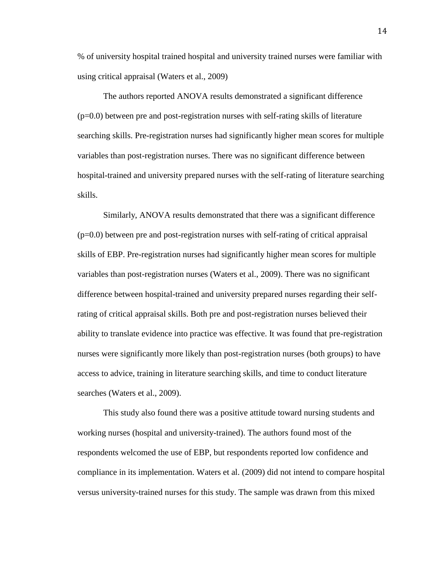% of university hospital trained hospital and university trained nurses were familiar with using critical appraisal (Waters et al., 2009)

The authors reported ANOVA results demonstrated a significant difference  $(p=0.0)$  between pre and post-registration nurses with self-rating skills of literature searching skills. Pre-registration nurses had significantly higher mean scores for multiple variables than post-registration nurses. There was no significant difference between hospital-trained and university prepared nurses with the self-rating of literature searching skills.

Similarly, ANOVA results demonstrated that there was a significant difference  $(p=0.0)$  between pre and post-registration nurses with self-rating of critical appraisal skills of EBP. Pre-registration nurses had significantly higher mean scores for multiple variables than post-registration nurses (Waters et al., 2009). There was no significant difference between hospital-trained and university prepared nurses regarding their selfrating of critical appraisal skills. Both pre and post-registration nurses believed their ability to translate evidence into practice was effective. It was found that pre-registration nurses were significantly more likely than post-registration nurses (both groups) to have access to advice, training in literature searching skills, and time to conduct literature searches (Waters et al., 2009).

This study also found there was a positive attitude toward nursing students and working nurses (hospital and university-trained). The authors found most of the respondents welcomed the use of EBP, but respondents reported low confidence and compliance in its implementation. Waters et al. (2009) did not intend to compare hospital versus university-trained nurses for this study. The sample was drawn from this mixed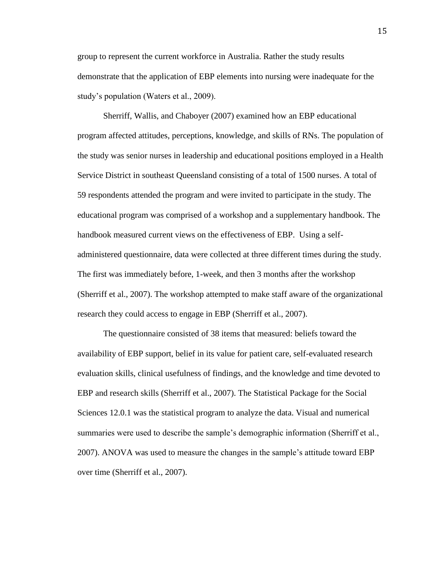group to represent the current workforce in Australia. Rather the study results demonstrate that the application of EBP elements into nursing were inadequate for the study's population (Waters et al., 2009).

Sherriff, Wallis, and Chaboyer (2007) examined how an EBP educational program affected attitudes, perceptions, knowledge, and skills of RNs. The population of the study was senior nurses in leadership and educational positions employed in a Health Service District in southeast Queensland consisting of a total of 1500 nurses. A total of 59 respondents attended the program and were invited to participate in the study. The educational program was comprised of a workshop and a supplementary handbook. The handbook measured current views on the effectiveness of EBP. Using a selfadministered questionnaire, data were collected at three different times during the study. The first was immediately before, 1-week, and then 3 months after the workshop (Sherriff et al., 2007). The workshop attempted to make staff aware of the organizational research they could access to engage in EBP (Sherriff et al., 2007).

The questionnaire consisted of 38 items that measured: beliefs toward the availability of EBP support, belief in its value for patient care, self-evaluated research evaluation skills, clinical usefulness of findings, and the knowledge and time devoted to EBP and research skills (Sherriff et al., 2007). The Statistical Package for the Social Sciences 12.0.1 was the statistical program to analyze the data. Visual and numerical summaries were used to describe the sample's demographic information (Sherriff et al., 2007). ANOVA was used to measure the changes in the sample's attitude toward EBP over time (Sherriff et al., 2007).

15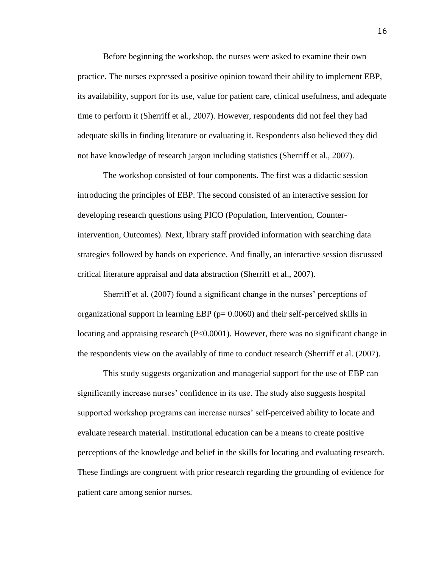Before beginning the workshop, the nurses were asked to examine their own practice. The nurses expressed a positive opinion toward their ability to implement EBP, its availability, support for its use, value for patient care, clinical usefulness, and adequate time to perform it (Sherriff et al., 2007). However, respondents did not feel they had adequate skills in finding literature or evaluating it. Respondents also believed they did not have knowledge of research jargon including statistics (Sherriff et al., 2007).

The workshop consisted of four components. The first was a didactic session introducing the principles of EBP. The second consisted of an interactive session for developing research questions using PICO (Population, Intervention, Counterintervention, Outcomes). Next, library staff provided information with searching data strategies followed by hands on experience. And finally, an interactive session discussed critical literature appraisal and data abstraction (Sherriff et al., 2007).

Sherriff et al. (2007) found a significant change in the nurses' perceptions of organizational support in learning EBP ( $p= 0.0060$ ) and their self-perceived skills in locating and appraising research (P<0.0001). However, there was no significant change in the respondents view on the availably of time to conduct research (Sherriff et al. (2007).

This study suggests organization and managerial support for the use of EBP can significantly increase nurses' confidence in its use. The study also suggests hospital supported workshop programs can increase nurses' self-perceived ability to locate and evaluate research material. Institutional education can be a means to create positive perceptions of the knowledge and belief in the skills for locating and evaluating research. These findings are congruent with prior research regarding the grounding of evidence for patient care among senior nurses.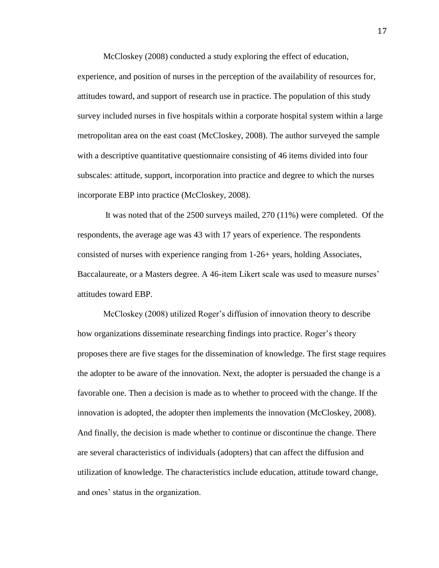McCloskey (2008) conducted a study exploring the effect of education, experience, and position of nurses in the perception of the availability of resources for, attitudes toward, and support of research use in practice. The population of this study survey included nurses in five hospitals within a corporate hospital system within a large metropolitan area on the east coast (McCloskey, 2008). The author surveyed the sample with a descriptive quantitative questionnaire consisting of 46 items divided into four subscales: attitude, support, incorporation into practice and degree to which the nurses incorporate EBP into practice (McCloskey, 2008).

It was noted that of the 2500 surveys mailed, 270 (11%) were completed. Of the respondents, the average age was 43 with 17 years of experience. The respondents consisted of nurses with experience ranging from 1-26+ years, holding Associates, Baccalaureate, or a Masters degree. A 46-item Likert scale was used to measure nurses' attitudes toward EBP.

McCloskey (2008) utilized Roger's diffusion of innovation theory to describe how organizations disseminate researching findings into practice. Roger's theory proposes there are five stages for the dissemination of knowledge. The first stage requires the adopter to be aware of the innovation. Next, the adopter is persuaded the change is a favorable one. Then a decision is made as to whether to proceed with the change. If the innovation is adopted, the adopter then implements the innovation (McCloskey, 2008). And finally, the decision is made whether to continue or discontinue the change. There are several characteristics of individuals (adopters) that can affect the diffusion and utilization of knowledge. The characteristics include education, attitude toward change, and ones' status in the organization.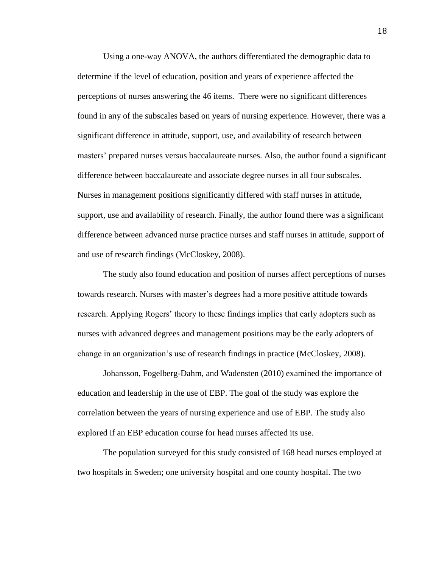Using a one-way ANOVA, the authors differentiated the demographic data to determine if the level of education, position and years of experience affected the perceptions of nurses answering the 46 items. There were no significant differences found in any of the subscales based on years of nursing experience. However, there was a significant difference in attitude, support, use, and availability of research between masters' prepared nurses versus baccalaureate nurses. Also, the author found a significant difference between baccalaureate and associate degree nurses in all four subscales. Nurses in management positions significantly differed with staff nurses in attitude, support, use and availability of research. Finally, the author found there was a significant difference between advanced nurse practice nurses and staff nurses in attitude, support of and use of research findings (McCloskey, 2008).

The study also found education and position of nurses affect perceptions of nurses towards research. Nurses with master's degrees had a more positive attitude towards research. Applying Rogers' theory to these findings implies that early adopters such as nurses with advanced degrees and management positions may be the early adopters of change in an organization's use of research findings in practice (McCloskey, 2008).

Johansson, Fogelberg-Dahm, and Wadensten (2010) examined the importance of education and leadership in the use of EBP. The goal of the study was explore the correlation between the years of nursing experience and use of EBP. The study also explored if an EBP education course for head nurses affected its use.

The population surveyed for this study consisted of 168 head nurses employed at two hospitals in Sweden; one university hospital and one county hospital. The two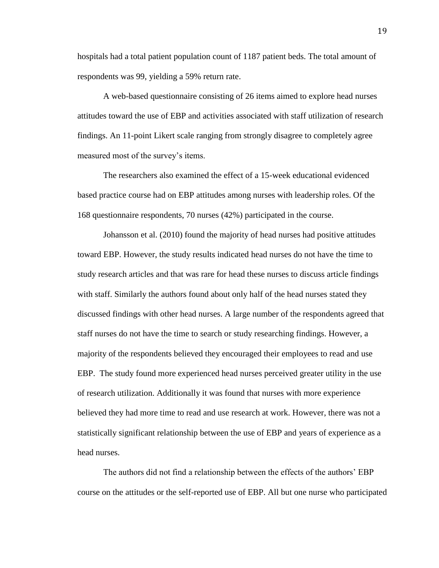hospitals had a total patient population count of 1187 patient beds. The total amount of respondents was 99, yielding a 59% return rate.

A web-based questionnaire consisting of 26 items aimed to explore head nurses attitudes toward the use of EBP and activities associated with staff utilization of research findings. An 11-point Likert scale ranging from strongly disagree to completely agree measured most of the survey's items.

The researchers also examined the effect of a 15-week educational evidenced based practice course had on EBP attitudes among nurses with leadership roles. Of the 168 questionnaire respondents, 70 nurses (42%) participated in the course.

Johansson et al. (2010) found the majority of head nurses had positive attitudes toward EBP. However, the study results indicated head nurses do not have the time to study research articles and that was rare for head these nurses to discuss article findings with staff. Similarly the authors found about only half of the head nurses stated they discussed findings with other head nurses. A large number of the respondents agreed that staff nurses do not have the time to search or study researching findings. However, a majority of the respondents believed they encouraged their employees to read and use EBP. The study found more experienced head nurses perceived greater utility in the use of research utilization. Additionally it was found that nurses with more experience believed they had more time to read and use research at work. However, there was not a statistically significant relationship between the use of EBP and years of experience as a head nurses.

The authors did not find a relationship between the effects of the authors' EBP course on the attitudes or the self-reported use of EBP. All but one nurse who participated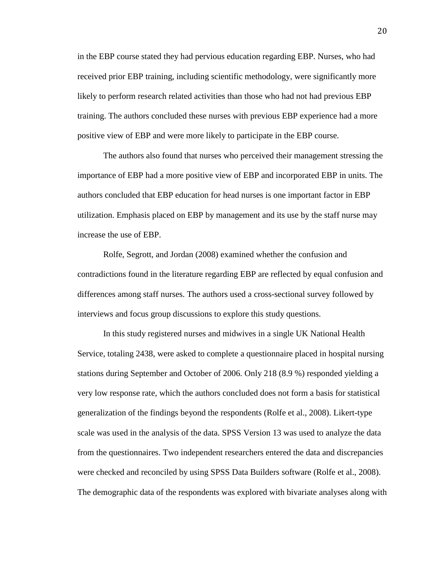in the EBP course stated they had pervious education regarding EBP. Nurses, who had received prior EBP training, including scientific methodology, were significantly more likely to perform research related activities than those who had not had previous EBP training. The authors concluded these nurses with previous EBP experience had a more positive view of EBP and were more likely to participate in the EBP course.

The authors also found that nurses who perceived their management stressing the importance of EBP had a more positive view of EBP and incorporated EBP in units. The authors concluded that EBP education for head nurses is one important factor in EBP utilization. Emphasis placed on EBP by management and its use by the staff nurse may increase the use of EBP.

Rolfe, Segrott, and Jordan (2008) examined whether the confusion and contradictions found in the literature regarding EBP are reflected by equal confusion and differences among staff nurses. The authors used a cross-sectional survey followed by interviews and focus group discussions to explore this study questions.

In this study registered nurses and midwives in a single UK National Health Service, totaling 2438, were asked to complete a questionnaire placed in hospital nursing stations during September and October of 2006. Only 218 (8.9 %) responded yielding a very low response rate, which the authors concluded does not form a basis for statistical generalization of the findings beyond the respondents (Rolfe et al., 2008). Likert-type scale was used in the analysis of the data. SPSS Version 13 was used to analyze the data from the questionnaires. Two independent researchers entered the data and discrepancies were checked and reconciled by using SPSS Data Builders software (Rolfe et al., 2008). The demographic data of the respondents was explored with bivariate analyses along with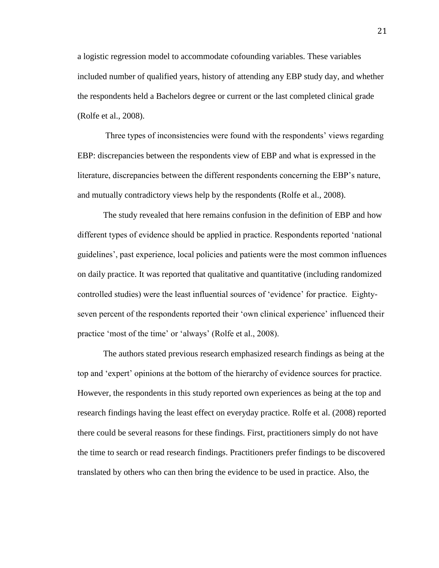a logistic regression model to accommodate cofounding variables. These variables included number of qualified years, history of attending any EBP study day, and whether the respondents held a Bachelors degree or current or the last completed clinical grade (Rolfe et al., 2008).

Three types of inconsistencies were found with the respondents' views regarding EBP: discrepancies between the respondents view of EBP and what is expressed in the literature, discrepancies between the different respondents concerning the EBP's nature, and mutually contradictory views help by the respondents (Rolfe et al., 2008).

The study revealed that here remains confusion in the definition of EBP and how different types of evidence should be applied in practice. Respondents reported 'national guidelines', past experience, local policies and patients were the most common influences on daily practice. It was reported that qualitative and quantitative (including randomized controlled studies) were the least influential sources of 'evidence' for practice. Eightyseven percent of the respondents reported their 'own clinical experience' influenced their practice 'most of the time' or 'always' (Rolfe et al., 2008).

The authors stated previous research emphasized research findings as being at the top and 'expert' opinions at the bottom of the hierarchy of evidence sources for practice. However, the respondents in this study reported own experiences as being at the top and research findings having the least effect on everyday practice. Rolfe et al. (2008) reported there could be several reasons for these findings. First, practitioners simply do not have the time to search or read research findings. Practitioners prefer findings to be discovered translated by others who can then bring the evidence to be used in practice. Also, the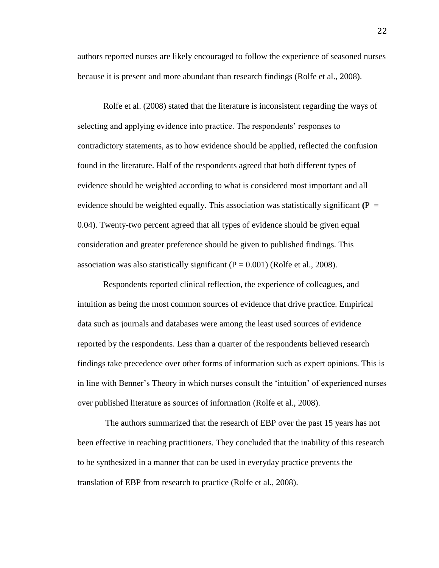authors reported nurses are likely encouraged to follow the experience of seasoned nurses because it is present and more abundant than research findings (Rolfe et al., 2008).

Rolfe et al. (2008) stated that the literature is inconsistent regarding the ways of selecting and applying evidence into practice. The respondents' responses to contradictory statements, as to how evidence should be applied, reflected the confusion found in the literature. Half of the respondents agreed that both different types of evidence should be weighted according to what is considered most important and all evidence should be weighted equally. This association was statistically significant  $(P =$ 0.04). Twenty-two percent agreed that all types of evidence should be given equal consideration and greater preference should be given to published findings. This association was also statistically significant  $(P = 0.001)$  (Rolfe et al., 2008).

Respondents reported clinical reflection, the experience of colleagues, and intuition as being the most common sources of evidence that drive practice. Empirical data such as journals and databases were among the least used sources of evidence reported by the respondents. Less than a quarter of the respondents believed research findings take precedence over other forms of information such as expert opinions. This is in line with Benner's Theory in which nurses consult the 'intuition' of experienced nurses over published literature as sources of information (Rolfe et al., 2008).

The authors summarized that the research of EBP over the past 15 years has not been effective in reaching practitioners. They concluded that the inability of this research to be synthesized in a manner that can be used in everyday practice prevents the translation of EBP from research to practice (Rolfe et al., 2008).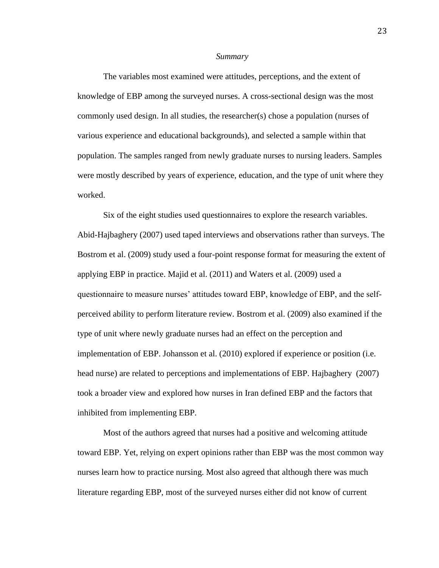#### *Summary*

The variables most examined were attitudes, perceptions, and the extent of knowledge of EBP among the surveyed nurses. A cross-sectional design was the most commonly used design. In all studies, the researcher(s) chose a population (nurses of various experience and educational backgrounds), and selected a sample within that population. The samples ranged from newly graduate nurses to nursing leaders. Samples were mostly described by years of experience, education, and the type of unit where they worked.

Six of the eight studies used questionnaires to explore the research variables. Abid-Hajbaghery (2007) used taped interviews and observations rather than surveys. The Bostrom et al. (2009) study used a four-point response format for measuring the extent of applying EBP in practice. Majid et al. (2011) and Waters et al. (2009) used a questionnaire to measure nurses' attitudes toward EBP, knowledge of EBP, and the selfperceived ability to perform literature review. Bostrom et al. (2009) also examined if the type of unit where newly graduate nurses had an effect on the perception and implementation of EBP. Johansson et al. (2010) explored if experience or position (i.e. head nurse) are related to perceptions and implementations of EBP. Hajbaghery (2007) took a broader view and explored how nurses in Iran defined EBP and the factors that inhibited from implementing EBP.

Most of the authors agreed that nurses had a positive and welcoming attitude toward EBP. Yet, relying on expert opinions rather than EBP was the most common way nurses learn how to practice nursing. Most also agreed that although there was much literature regarding EBP, most of the surveyed nurses either did not know of current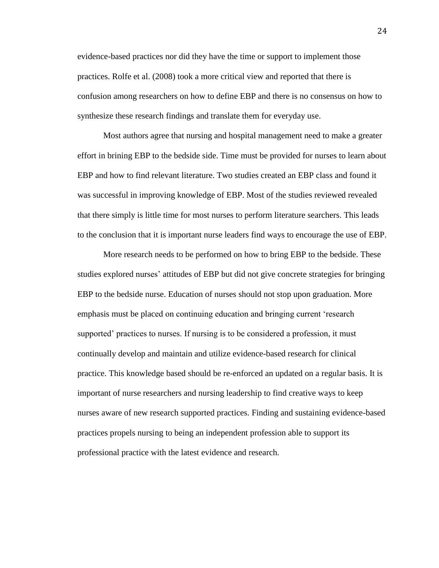evidence-based practices nor did they have the time or support to implement those practices. Rolfe et al. (2008) took a more critical view and reported that there is confusion among researchers on how to define EBP and there is no consensus on how to synthesize these research findings and translate them for everyday use.

Most authors agree that nursing and hospital management need to make a greater effort in brining EBP to the bedside side. Time must be provided for nurses to learn about EBP and how to find relevant literature. Two studies created an EBP class and found it was successful in improving knowledge of EBP. Most of the studies reviewed revealed that there simply is little time for most nurses to perform literature searchers. This leads to the conclusion that it is important nurse leaders find ways to encourage the use of EBP.

More research needs to be performed on how to bring EBP to the bedside. These studies explored nurses' attitudes of EBP but did not give concrete strategies for bringing EBP to the bedside nurse. Education of nurses should not stop upon graduation. More emphasis must be placed on continuing education and bringing current 'research supported' practices to nurses. If nursing is to be considered a profession, it must continually develop and maintain and utilize evidence-based research for clinical practice. This knowledge based should be re-enforced an updated on a regular basis. It is important of nurse researchers and nursing leadership to find creative ways to keep nurses aware of new research supported practices. Finding and sustaining evidence-based practices propels nursing to being an independent profession able to support its professional practice with the latest evidence and research.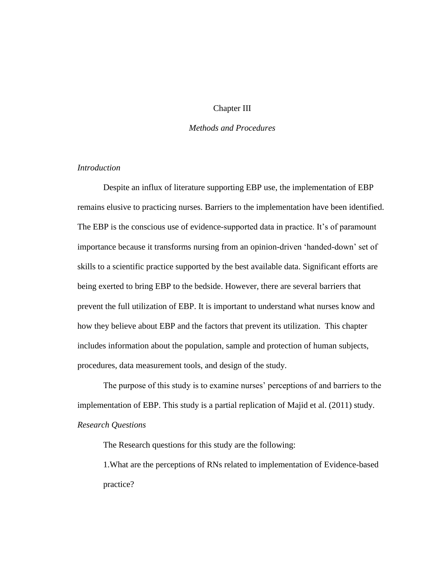## Chapter III

## *Methods and Procedures*

## *Introduction*

Despite an influx of literature supporting EBP use, the implementation of EBP remains elusive to practicing nurses. Barriers to the implementation have been identified. The EBP is the conscious use of evidence-supported data in practice. It's of paramount importance because it transforms nursing from an opinion-driven 'handed-down' set of skills to a scientific practice supported by the best available data. Significant efforts are being exerted to bring EBP to the bedside. However, there are several barriers that prevent the full utilization of EBP. It is important to understand what nurses know and how they believe about EBP and the factors that prevent its utilization. This chapter includes information about the population, sample and protection of human subjects, procedures, data measurement tools, and design of the study.

The purpose of this study is to examine nurses' perceptions of and barriers to the implementation of EBP. This study is a partial replication of Majid et al. (2011) study. *Research Questions*

The Research questions for this study are the following:

1.What are the perceptions of RNs related to implementation of Evidence-based practice?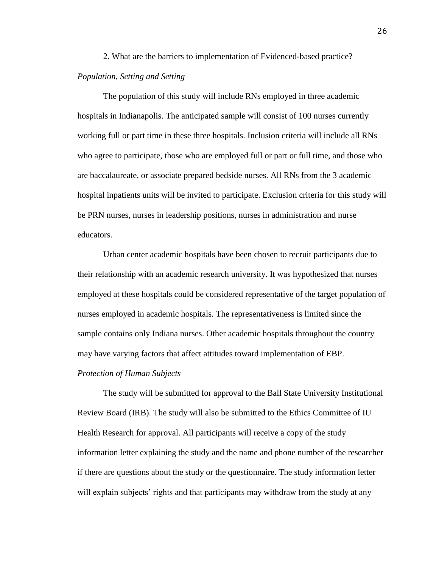# 2. What are the barriers to implementation of Evidenced-based practice? *Population, Setting and Setting*

The population of this study will include RNs employed in three academic hospitals in Indianapolis. The anticipated sample will consist of 100 nurses currently working full or part time in these three hospitals. Inclusion criteria will include all RNs who agree to participate, those who are employed full or part or full time, and those who are baccalaureate, or associate prepared bedside nurses. All RNs from the 3 academic hospital inpatients units will be invited to participate. Exclusion criteria for this study will be PRN nurses, nurses in leadership positions, nurses in administration and nurse educators.

Urban center academic hospitals have been chosen to recruit participants due to their relationship with an academic research university. It was hypothesized that nurses employed at these hospitals could be considered representative of the target population of nurses employed in academic hospitals. The representativeness is limited since the sample contains only Indiana nurses. Other academic hospitals throughout the country may have varying factors that affect attitudes toward implementation of EBP.

#### *Protection of Human Subjects*

The study will be submitted for approval to the Ball State University Institutional Review Board (IRB). The study will also be submitted to the Ethics Committee of IU Health Research for approval. All participants will receive a copy of the study information letter explaining the study and the name and phone number of the researcher if there are questions about the study or the questionnaire. The study information letter will explain subjects' rights and that participants may withdraw from the study at any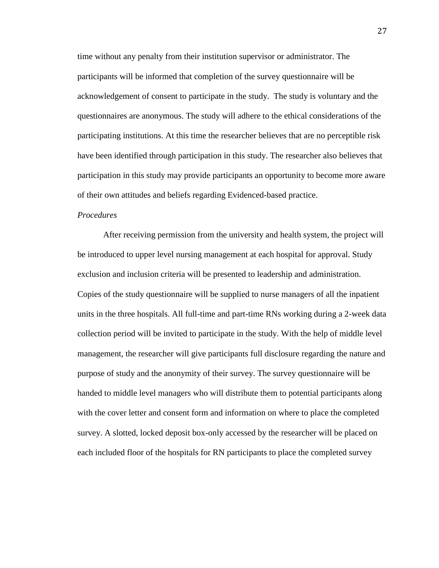time without any penalty from their institution supervisor or administrator. The participants will be informed that completion of the survey questionnaire will be acknowledgement of consent to participate in the study. The study is voluntary and the questionnaires are anonymous. The study will adhere to the ethical considerations of the participating institutions. At this time the researcher believes that are no perceptible risk have been identified through participation in this study. The researcher also believes that participation in this study may provide participants an opportunity to become more aware of their own attitudes and beliefs regarding Evidenced-based practice.

## *Procedures*

After receiving permission from the university and health system, the project will be introduced to upper level nursing management at each hospital for approval. Study exclusion and inclusion criteria will be presented to leadership and administration. Copies of the study questionnaire will be supplied to nurse managers of all the inpatient units in the three hospitals. All full-time and part-time RNs working during a 2-week data collection period will be invited to participate in the study. With the help of middle level management, the researcher will give participants full disclosure regarding the nature and purpose of study and the anonymity of their survey. The survey questionnaire will be handed to middle level managers who will distribute them to potential participants along with the cover letter and consent form and information on where to place the completed survey. A slotted, locked deposit box-only accessed by the researcher will be placed on each included floor of the hospitals for RN participants to place the completed survey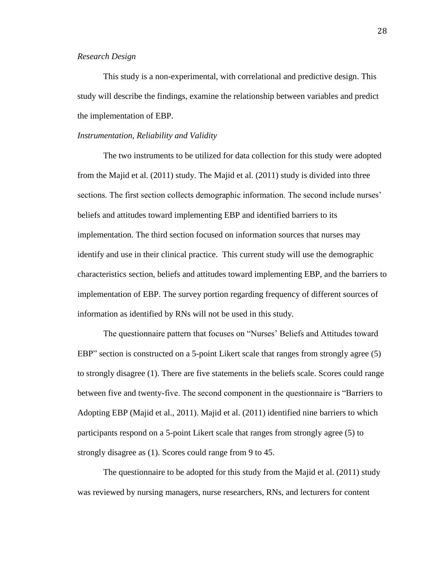#### *Research Design*

This study is a non-experimental, with correlational and predictive design. This study will describe the findings, examine the relationship between variables and predict the implementation of EBP.

#### *Instrumentation, Reliability and Validity*

The two instruments to be utilized for data collection for this study were adopted from the Majid et al. (2011) study. The Majid et al. (2011) study is divided into three sections. The first section collects demographic information. The second include nurses' beliefs and attitudes toward implementing EBP and identified barriers to its implementation. The third section focused on information sources that nurses may identify and use in their clinical practice. This current study will use the demographic characteristics section, beliefs and attitudes toward implementing EBP, and the barriers to implementation of EBP. The survey portion regarding frequency of different sources of information as identified by RNs will not be used in this study.

The questionnaire pattern that focuses on "Nurses' Beliefs and Attitudes toward EBP" section is constructed on a 5-point Likert scale that ranges from strongly agree (5) to strongly disagree (1). There are five statements in the beliefs scale. Scores could range between five and twenty-five. The second component in the questionnaire is "Barriers to Adopting EBP (Majid et al., 2011). Majid et al. (2011) identified nine barriers to which participants respond on a 5-point Likert scale that ranges from strongly agree (5) to strongly disagree as (1). Scores could range from 9 to 45.

The questionnaire to be adopted for this study from the Majid et al. (2011) study was reviewed by nursing managers, nurse researchers, RNs, and lecturers for content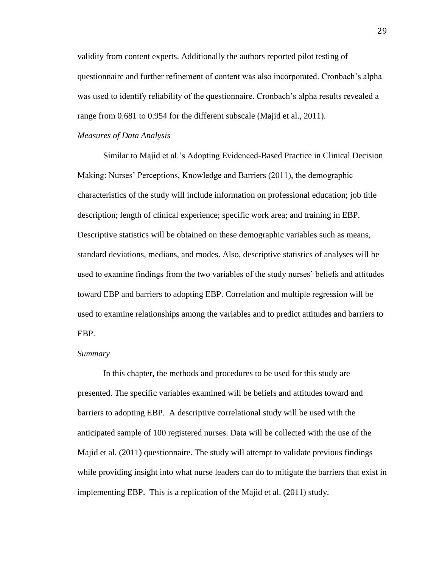validity from content experts. Additionally the authors reported pilot testing of questionnaire and further refinement of content was also incorporated. Cronbach's alpha was used to identify reliability of the questionnaire. Cronbach's alpha results revealed a range from 0.681 to 0.954 for the different subscale (Majid et al., 2011).

#### *Measures of Data Analysis*

Similar to Majid et al.'s Adopting Evidenced-Based Practice in Clinical Decision Making: Nurses' Perceptions, Knowledge and Barriers (2011), the demographic characteristics of the study will include information on professional education; job title description; length of clinical experience; specific work area; and training in EBP. Descriptive statistics will be obtained on these demographic variables such as means, standard deviations, medians, and modes. Also, descriptive statistics of analyses will be used to examine findings from the two variables of the study nurses' beliefs and attitudes toward EBP and barriers to adopting EBP. Correlation and multiple regression will be used to examine relationships among the variables and to predict attitudes and barriers to EBP.

## *Summary*

In this chapter, the methods and procedures to be used for this study are presented. The specific variables examined will be beliefs and attitudes toward and barriers to adopting EBP. A descriptive correlational study will be used with the anticipated sample of 100 registered nurses. Data will be collected with the use of the Majid et al. (2011) questionnaire. The study will attempt to validate previous findings while providing insight into what nurse leaders can do to mitigate the barriers that exist in implementing EBP. This is a replication of the Majid et al. (2011) study.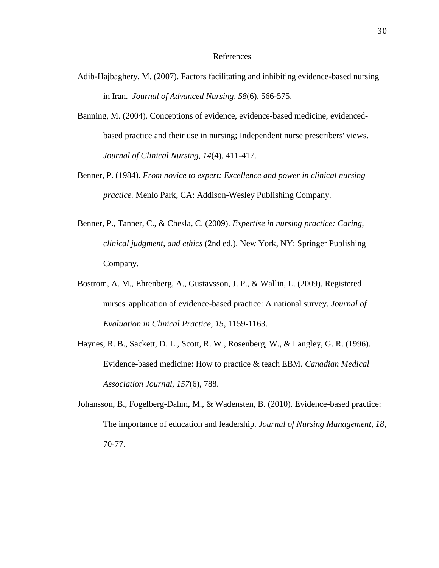#### References

- Adib-Hajbaghery, M. (2007). Factors facilitating and inhibiting evidence-based nursing in Iran. *Journal of Advanced Nursing, 58*(6), 566-575.
- Banning, M. (2004). Conceptions of evidence, evidence-based medicine, evidencedbased practice and their use in nursing; Independent nurse prescribers' views. *Journal of Clinical Nursing, 14*(4), 411-417.
- Benner, P. (1984). *From novice to expert: Excellence and power in clinical nursing practice.* Menlo Park, CA: Addison-Wesley Publishing Company.
- Benner, P., Tanner, C., & Chesla, C. (2009). *Expertise in nursing practice: Caring, clinical judgment, and ethics* (2nd ed.). New York, NY: Springer Publishing Company.
- Bostrom, A. M., Ehrenberg, A., Gustavsson, J. P., & Wallin, L. (2009). Registered nurses' application of evidence-based practice: A national survey. *Journal of Evaluation in Clinical Practice, 15*, 1159-1163.
- Haynes, R. B., Sackett, D. L., Scott, R. W., Rosenberg, W., & Langley, G. R. (1996). Evidence-based medicine: How to practice & teach EBM. *Canadian Medical Association Journal, 157*(6), 788.
- Johansson, B., Fogelberg-Dahm, M., & Wadensten, B. (2010). Evidence-based practice: The importance of education and leadership. *Journal of Nursing Management, 18*, 70-77.